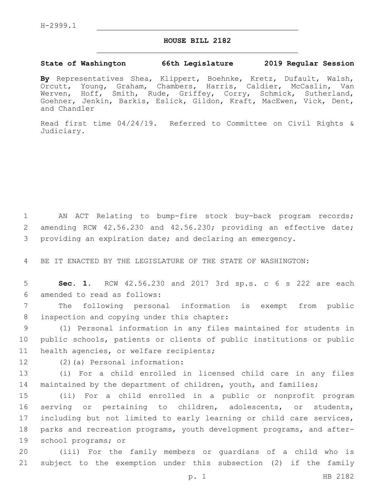## **HOUSE BILL 2182**

## **State of Washington 66th Legislature 2019 Regular Session**

**By** Representatives Shea, Klippert, Boehnke, Kretz, Dufault, Walsh, Orcutt, Young, Graham, Chambers, Harris, Caldier, McCaslin, Van Werven, Hoff, Smith, Rude, Griffey, Corry, Schmick, Sutherland, Goehner, Jenkin, Barkis, Eslick, Gildon, Kraft, MacEwen, Vick, Dent, and Chandler

Read first time 04/24/19. Referred to Committee on Civil Rights & Judiciary.

1 AN ACT Relating to bump-fire stock buy-back program records; 2 amending RCW 42.56.230 and 42.56.230; providing an effective date; 3 providing an expiration date; and declaring an emergency.

4 BE IT ENACTED BY THE LEGISLATURE OF THE STATE OF WASHINGTON:

5 **Sec. 1.** RCW 42.56.230 and 2017 3rd sp.s. c 6 s 222 are each amended to read as follows:6

7 The following personal information is exempt from public 8 inspection and copying under this chapter:

9 (1) Personal information in any files maintained for students in 10 public schools, patients or clients of public institutions or public 11 health agencies, or welfare recipients;

12 (2)(a) Personal information:

13 (i) For a child enrolled in licensed child care in any files 14 maintained by the department of children, youth, and families;

 (ii) For a child enrolled in a public or nonprofit program serving or pertaining to children, adolescents, or students, including but not limited to early learning or child care services, parks and recreation programs, youth development programs, and after-19 school programs; or

20 (iii) For the family members or guardians of a child who is 21 subject to the exemption under this subsection (2) if the family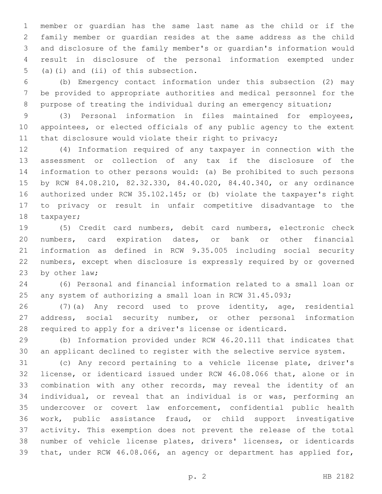member or guardian has the same last name as the child or if the family member or guardian resides at the same address as the child and disclosure of the family member's or guardian's information would result in disclosure of the personal information exempted under 5 (a)(i) and (ii) of this subsection.

 (b) Emergency contact information under this subsection (2) may be provided to appropriate authorities and medical personnel for the purpose of treating the individual during an emergency situation;

 (3) Personal information in files maintained for employees, appointees, or elected officials of any public agency to the extent 11 that disclosure would violate their right to privacy;

 (4) Information required of any taxpayer in connection with the assessment or collection of any tax if the disclosure of the information to other persons would: (a) Be prohibited to such persons by RCW 84.08.210, 82.32.330, 84.40.020, 84.40.340, or any ordinance authorized under RCW 35.102.145; or (b) violate the taxpayer's right to privacy or result in unfair competitive disadvantage to the 18 taxpayer;

 (5) Credit card numbers, debit card numbers, electronic check numbers, card expiration dates, or bank or other financial information as defined in RCW 9.35.005 including social security numbers, except when disclosure is expressly required by or governed 23 by other law;

 (6) Personal and financial information related to a small loan or any system of authorizing a small loan in RCW 31.45.093;

 (7)(a) Any record used to prove identity, age, residential address, social security number, or other personal information required to apply for a driver's license or identicard.

 (b) Information provided under RCW 46.20.111 that indicates that an applicant declined to register with the selective service system.

 (c) Any record pertaining to a vehicle license plate, driver's license, or identicard issued under RCW 46.08.066 that, alone or in combination with any other records, may reveal the identity of an individual, or reveal that an individual is or was, performing an undercover or covert law enforcement, confidential public health work, public assistance fraud, or child support investigative activity. This exemption does not prevent the release of the total number of vehicle license plates, drivers' licenses, or identicards that, under RCW 46.08.066, an agency or department has applied for,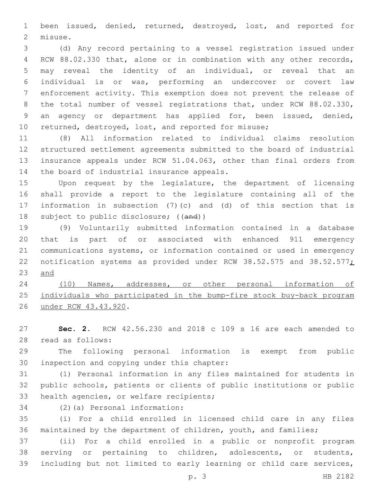been issued, denied, returned, destroyed, lost, and reported for 2 misuse.

 (d) Any record pertaining to a vessel registration issued under RCW 88.02.330 that, alone or in combination with any other records, may reveal the identity of an individual, or reveal that an individual is or was, performing an undercover or covert law enforcement activity. This exemption does not prevent the release of 8 the total number of vessel registrations that, under RCW 88.02.330, an agency or department has applied for, been issued, denied, returned, destroyed, lost, and reported for misuse;

 (8) All information related to individual claims resolution structured settlement agreements submitted to the board of industrial insurance appeals under RCW 51.04.063, other than final orders from 14 the board of industrial insurance appeals.

 Upon request by the legislature, the department of licensing shall provide a report to the legislature containing all of the information in subsection (7)(c) and (d) of this section that is 18 subject to public disclosure; ((and))

 (9) Voluntarily submitted information contained in a database that is part of or associated with enhanced 911 emergency communications systems, or information contained or used in emergency 22 notification systems as provided under RCW 38.52.575 and 38.52.577; and

 (10) Names, addresses, or other personal information of individuals who participated in the bump-fire stock buy-back program under RCW 43.43.920.26

 **Sec. 2.** RCW 42.56.230 and 2018 c 109 s 16 are each amended to read as follows:28

 The following personal information is exempt from public 30 inspection and copying under this chapter:

 (1) Personal information in any files maintained for students in public schools, patients or clients of public institutions or public 33 health agencies, or welfare recipients;

(2)(a) Personal information:34

 (i) For a child enrolled in licensed child care in any files maintained by the department of children, youth, and families;

 (ii) For a child enrolled in a public or nonprofit program serving or pertaining to children, adolescents, or students, including but not limited to early learning or child care services,

p. 3 HB 2182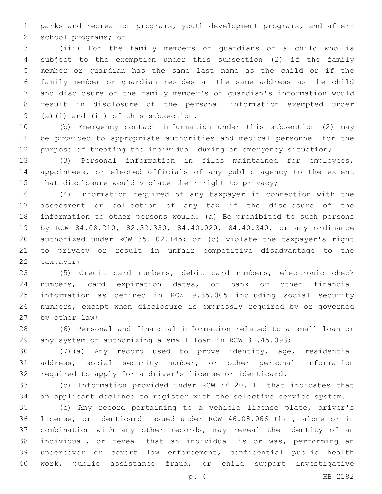parks and recreation programs, youth development programs, and after-2 school programs; or

 (iii) For the family members or guardians of a child who is subject to the exemption under this subsection (2) if the family member or guardian has the same last name as the child or if the family member or guardian resides at the same address as the child and disclosure of the family member's or guardian's information would result in disclosure of the personal information exempted under 9 (a)(i) and (ii) of this subsection.

 (b) Emergency contact information under this subsection (2) may be provided to appropriate authorities and medical personnel for the 12 purpose of treating the individual during an emergency situation;

 (3) Personal information in files maintained for employees, appointees, or elected officials of any public agency to the extent 15 that disclosure would violate their right to privacy;

 (4) Information required of any taxpayer in connection with the assessment or collection of any tax if the disclosure of the information to other persons would: (a) Be prohibited to such persons by RCW 84.08.210, 82.32.330, 84.40.020, 84.40.340, or any ordinance authorized under RCW 35.102.145; or (b) violate the taxpayer's right to privacy or result in unfair competitive disadvantage to the 22 taxpayer;

 (5) Credit card numbers, debit card numbers, electronic check numbers, card expiration dates, or bank or other financial information as defined in RCW 9.35.005 including social security numbers, except when disclosure is expressly required by or governed 27 by other law;

 (6) Personal and financial information related to a small loan or any system of authorizing a small loan in RCW 31.45.093;

 (7)(a) Any record used to prove identity, age, residential address, social security number, or other personal information required to apply for a driver's license or identicard.

 (b) Information provided under RCW 46.20.111 that indicates that an applicant declined to register with the selective service system.

 (c) Any record pertaining to a vehicle license plate, driver's license, or identicard issued under RCW 46.08.066 that, alone or in combination with any other records, may reveal the identity of an individual, or reveal that an individual is or was, performing an undercover or covert law enforcement, confidential public health work, public assistance fraud, or child support investigative

p. 4 HB 2182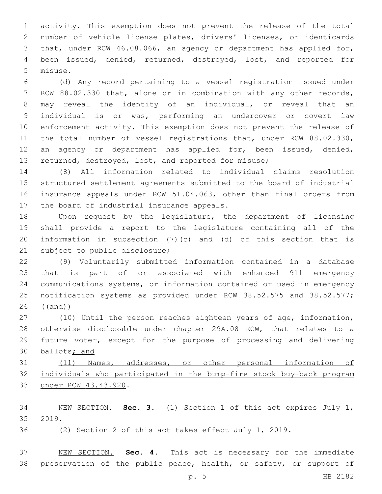activity. This exemption does not prevent the release of the total number of vehicle license plates, drivers' licenses, or identicards that, under RCW 46.08.066, an agency or department has applied for, been issued, denied, returned, destroyed, lost, and reported for 5 misuse.

 (d) Any record pertaining to a vessel registration issued under RCW 88.02.330 that, alone or in combination with any other records, may reveal the identity of an individual, or reveal that an individual is or was, performing an undercover or covert law enforcement activity. This exemption does not prevent the release of the total number of vessel registrations that, under RCW 88.02.330, an agency or department has applied for, been issued, denied, returned, destroyed, lost, and reported for misuse;

 (8) All information related to individual claims resolution structured settlement agreements submitted to the board of industrial insurance appeals under RCW 51.04.063, other than final orders from 17 the board of industrial insurance appeals.

 Upon request by the legislature, the department of licensing shall provide a report to the legislature containing all of the information in subsection (7)(c) and (d) of this section that is 21 subject to public disclosure;

 (9) Voluntarily submitted information contained in a database that is part of or associated with enhanced 911 emergency communications systems, or information contained or used in emergency 25 notification systems as provided under RCW 38.52.575 and 38.52.577; ((and))

 (10) Until the person reaches eighteen years of age, information, otherwise disclosable under chapter 29A.08 RCW, that relates to a future voter, except for the purpose of processing and delivering ballots; and

 (11) Names, addresses, or other personal information of individuals who participated in the bump-fire stock buy-back program 33 under RCW 43.43.920.

 NEW SECTION. **Sec. 3.** (1) Section 1 of this act expires July 1, 2019.

(2) Section 2 of this act takes effect July 1, 2019.

 NEW SECTION. **Sec. 4.** This act is necessary for the immediate preservation of the public peace, health, or safety, or support of